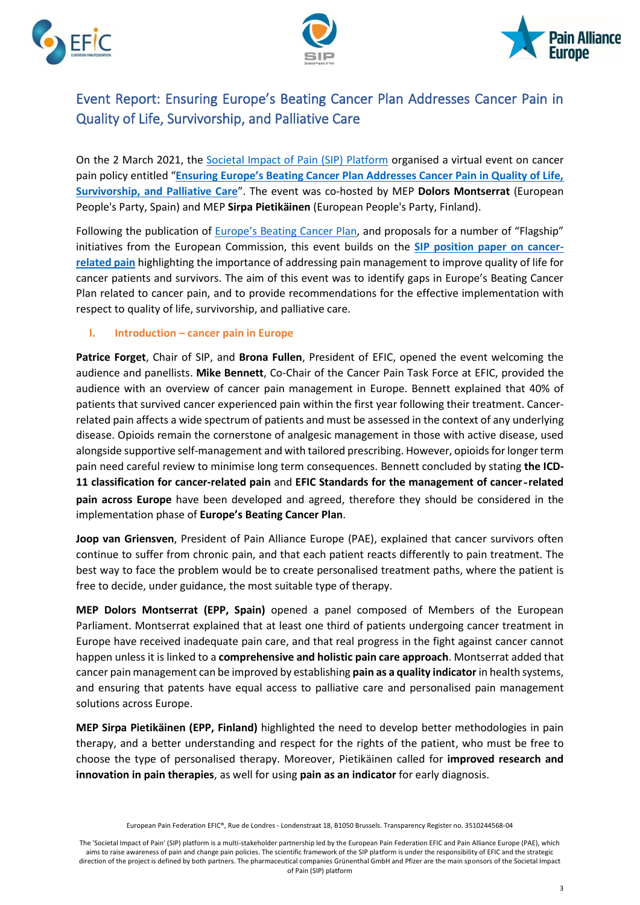





# Event Report: Ensuring Europe's Beating Cancer Plan Addresses Cancer Pain in Quality of Life, Survivorship, and Palliative Care

On the 2 March 2021, the [Societal Impact of Pain \(SIP\) Platform](https://www.sip-platform.eu/en) organised a virtual event on cancer pain policy entitled "**[Ensuring Europe's Beating Cancer Plan Addresses Cancer Pain in Quality of Life,](https://www.sip-platform.eu/events/sip-cancer-plan)  Survivorship, [and Palliative Care](https://www.sip-platform.eu/events/sip-cancer-plan)**". The event was co-hosted by MEP **Dolors Montserrat** (European People's Party, Spain) and MEP **Sirpa Pietikäinen** (European People's Party, Finland).

Following the publication of [Europe's Beating Cancer Plan](https://ec.europa.eu/health/non_communicable_diseases/cancer_en), and proposals for a number of "Flagship" initiatives from the European Commission, this event builds on the **[SIP position paper on cancer](https://www.sip-platform.eu/resources/details/id-2-march-2021-sip-virtual-event-on-europe-s-beating-cancer-plan?file=files/editor/newsroom/News/2020/Cancer%20Position%20Paper_FINALe.pdf)[related pain](https://www.sip-platform.eu/resources/details/id-2-march-2021-sip-virtual-event-on-europe-s-beating-cancer-plan?file=files/editor/newsroom/News/2020/Cancer%20Position%20Paper_FINALe.pdf)** highlighting the importance of addressing pain management to improve quality of life for cancer patients and survivors. The aim of this event was to identify gaps in Europe's Beating Cancer Plan related to cancer pain, and to provide recommendations for the effective implementation with respect to quality of life, survivorship, and palliative care.

# **I. Introduction – cancer pain in Europe**

**Patrice Forget**, Chair of SIP, and **Brona Fullen**, President of EFIC, opened the event welcoming the audience and panellists. **Mike Bennett**, Co-Chair of the Cancer Pain Task Force at EFIC, provided the audience with an overview of cancer pain management in Europe. Bennett explained that 40% of patients that survived cancer experienced pain within the first year following their treatment. Cancerrelated pain affects a wide spectrum of patients and must be assessed in the context of any underlying disease. Opioids remain the cornerstone of analgesic management in those with active disease, used alongside supportive self-management and with tailored prescribing. However, opioids for longer term pain need careful review to minimise long term consequences. Bennett concluded by stating **the ICD-11 classification for cancer-related pain** and **EFIC Standards for the management of cancer‐related pain across Europe** have been developed and agreed, therefore they should be considered in the implementation phase of **Europe's Beating Cancer Plan**.

**Joop van Griensven**, President of Pain Alliance Europe (PAE), explained that cancer survivors often continue to suffer from chronic pain, and that each patient reacts differently to pain treatment. The best way to face the problem would be to create personalised treatment paths, where the patient is free to decide, under guidance, the most suitable type of therapy.

**MEP Dolors Montserrat (EPP, Spain)** opened a panel composed of Members of the European Parliament. Montserrat explained that at least one third of patients undergoing cancer treatment in Europe have received inadequate pain care, and that real progress in the fight against cancer cannot happen unless it is linked to a **comprehensive and holistic pain care approach**. Montserrat added that cancer pain management can be improved by establishing **pain as a quality indicator** in health systems, and ensuring that patents have equal access to palliative care and personalised pain management solutions across Europe.

**MEP Sirpa Pietikäinen (EPP, Finland)** highlighted the need to develop better methodologies in pain therapy, and a better understanding and respect for the rights of the patient, who must be free to choose the type of personalised therapy. Moreover, Pietikäinen called for **improved research and innovation in pain therapies**, as well for using **pain as an indicator** for early diagnosis.

The 'Societal Impact of Pain' (SIP) platform is a multi-stakeholder partnership led by the European Pain Federation EFIC and Pain Alliance Europe (PAE), which aims to raise awareness of pain and change pain policies. The scientific framework of the SIP platform is under the responsibility of EFIC and the strategic direction of the project is defined by both partners. The pharmaceutical companies Grünenthal GmbH and Pfizer are the main sponsors of the Societal Impact of Pain (SIP) platform

European Pain Federation EFIC®, Rue de Londres - Londenstraat 18, B1050 Brussels. Transparency Register no. 3510244568-04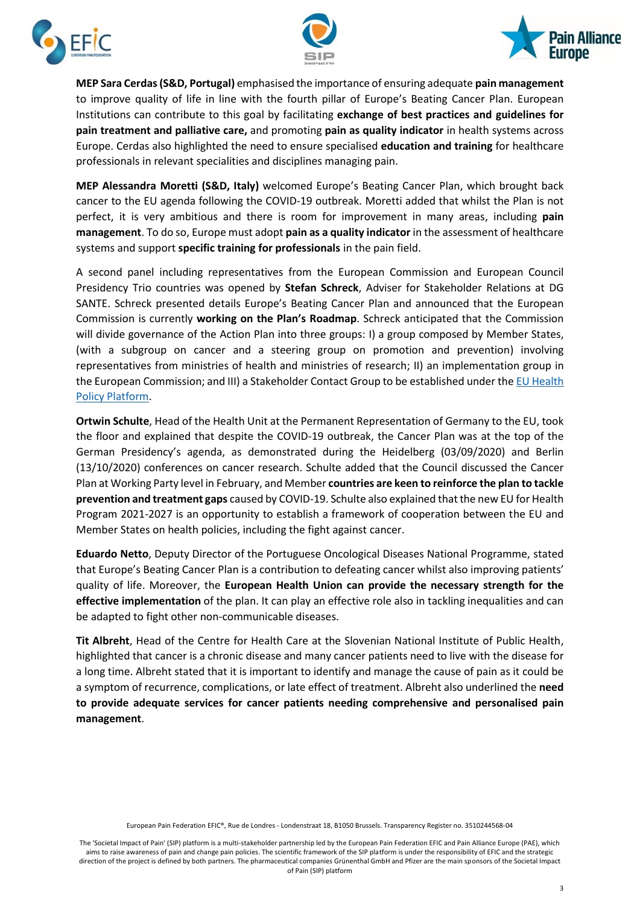





**MEP Sara Cerdas(S&D, Portugal)** emphasised the importance of ensuring adequate **pain management** to improve quality of life in line with the fourth pillar of Europe's Beating Cancer Plan. European Institutions can contribute to this goal by facilitating **exchange of best practices and guidelines for pain treatment and palliative care,** and promoting **pain as quality indicator** in health systems across Europe. Cerdas also highlighted the need to ensure specialised **education and training** for healthcare professionals in relevant specialities and disciplines managing pain.

**MEP Alessandra Moretti (S&D, Italy)** welcomed Europe's Beating Cancer Plan, which brought back cancer to the EU agenda following the COVID-19 outbreak. Moretti added that whilst the Plan is not perfect, it is very ambitious and there is room for improvement in many areas, including **pain management**. To do so, Europe must adopt **pain as a quality indicator** in the assessment of healthcare systems and support **specific training for professionals** in the pain field.

A second panel including representatives from the European Commission and European Council Presidency Trio countries was opened by **Stefan Schreck**, Adviser for Stakeholder Relations at DG SANTE. Schreck presented details Europe's Beating Cancer Plan and announced that the European Commission is currently **working on the Plan's Roadmap**. Schreck anticipated that the Commission will divide governance of the Action Plan into three groups: I) a group composed by Member States, (with a subgroup on cancer and a steering group on promotion and prevention) involving representatives from ministries of health and ministries of research; II) an implementation group in the European Commission; and III) a Stakeholder Contact Group to be established under th[e EU Health](https://webgate.ec.europa.eu/hpf/)  [Policy Platform.](https://webgate.ec.europa.eu/hpf/)

**Ortwin Schulte**, Head of the Health Unit at the Permanent Representation of Germany to the EU, took the floor and explained that despite the COVID-19 outbreak, the Cancer Plan was at the top of the German Presidency's agenda, as demonstrated during the Heidelberg (03/09/2020) and Berlin (13/10/2020) conferences on cancer research. Schulte added that the Council discussed the Cancer Plan at Working Party level in February, and Member **countries are keen to reinforce the plan to tackle prevention and treatment gaps** caused by COVID-19. Schulte also explained that the new EU for Health Program 2021-2027 is an opportunity to establish a framework of cooperation between the EU and Member States on health policies, including the fight against cancer.

**Eduardo Netto**, Deputy Director of the Portuguese Oncological Diseases National Programme, stated that Europe's Beating Cancer Plan is a contribution to defeating cancer whilst also improving patients' quality of life. Moreover, the **European Health Union can provide the necessary strength for the effective implementation** of the plan. It can play an effective role also in tackling inequalities and can be adapted to fight other non-communicable diseases.

**Tit Albreht**, Head of the Centre for Health Care at the Slovenian National Institute of Public Health, highlighted that cancer is a chronic disease and many cancer patients need to live with the disease for a long time. Albreht stated that it is important to identify and manage the cause of pain as it could be a symptom of recurrence, complications, or late effect of treatment. Albreht also underlined the **need to provide adequate services for cancer patients needing comprehensive and personalised pain management**.

European Pain Federation EFIC®, Rue de Londres - Londenstraat 18, B1050 Brussels. Transparency Register no. 3510244568-04

The 'Societal Impact of Pain' (SIP) platform is a multi-stakeholder partnership led by the European Pain Federation EFIC and Pain Alliance Europe (PAE), which aims to raise awareness of pain and change pain policies. The scientific framework of the SIP platform is under the responsibility of EFIC and the strategic direction of the project is defined by both partners. The pharmaceutical companies Grünenthal GmbH and Pfizer are the main sponsors of the Societal Impact of Pain (SIP) platform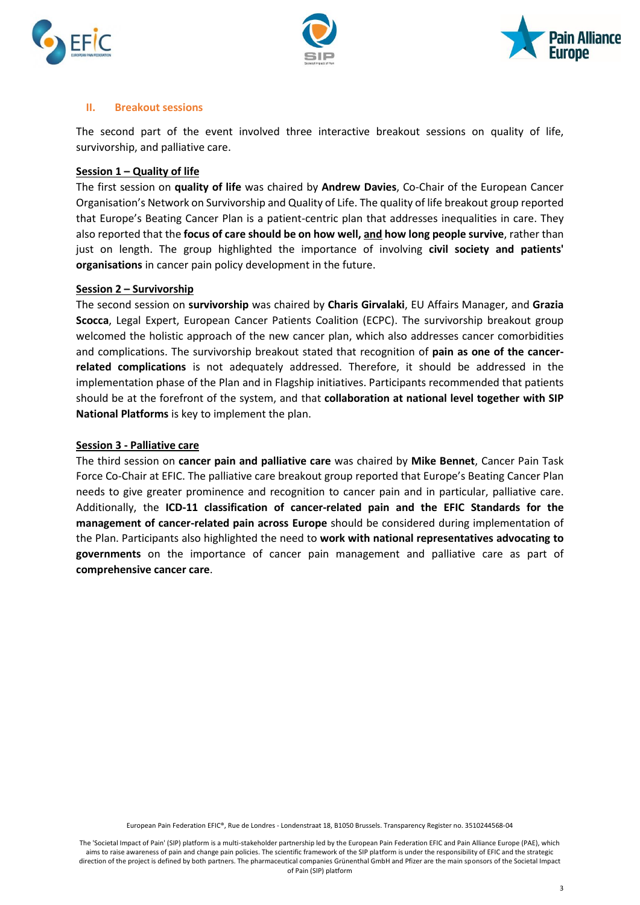





#### **II. Breakout sessions**

The second part of the event involved three interactive breakout sessions on quality of life, survivorship, and palliative care.

#### **Session 1 – Quality of life**

The first session on **quality of life** was chaired by **Andrew Davies**, Co-Chair of the European Cancer Organisation's Network on Survivorship and Quality of Life. The quality of life breakout group reported that Europe's Beating Cancer Plan is a patient-centric plan that addresses inequalities in care. They also reported that the **focus of care should be on how well, and how long people survive**, rather than just on length. The group highlighted the importance of involving **civil society and patients' organisations** in cancer pain policy development in the future.

#### **Session 2 – Survivorship**

The second session on **survivorship** was chaired by **Charis Girvalaki**, EU Affairs Manager, and **Grazia Scocca**, Legal Expert, European Cancer Patients Coalition (ECPC). The survivorship breakout group welcomed the holistic approach of the new cancer plan, which also addresses cancer comorbidities and complications. The survivorship breakout stated that recognition of **pain as one of the cancerrelated complications** is not adequately addressed. Therefore, it should be addressed in the implementation phase of the Plan and in Flagship initiatives. Participants recommended that patients should be at the forefront of the system, and that **collaboration at national level together with SIP National Platforms** is key to implement the plan.

#### **Session 3 - Palliative care**

The third session on **cancer pain and palliative care** was chaired by **Mike Bennet**, Cancer Pain Task Force Co-Chair at EFIC. The palliative care breakout group reported that Europe's Beating Cancer Plan needs to give greater prominence and recognition to cancer pain and in particular, palliative care. Additionally, the **ICD-11 classification of cancer-related pain and the EFIC Standards for the management of cancer-related pain across Europe** should be considered during implementation of the Plan. Participants also highlighted the need to **work with national representatives advocating to governments** on the importance of cancer pain management and palliative care as part of **comprehensive cancer care**.